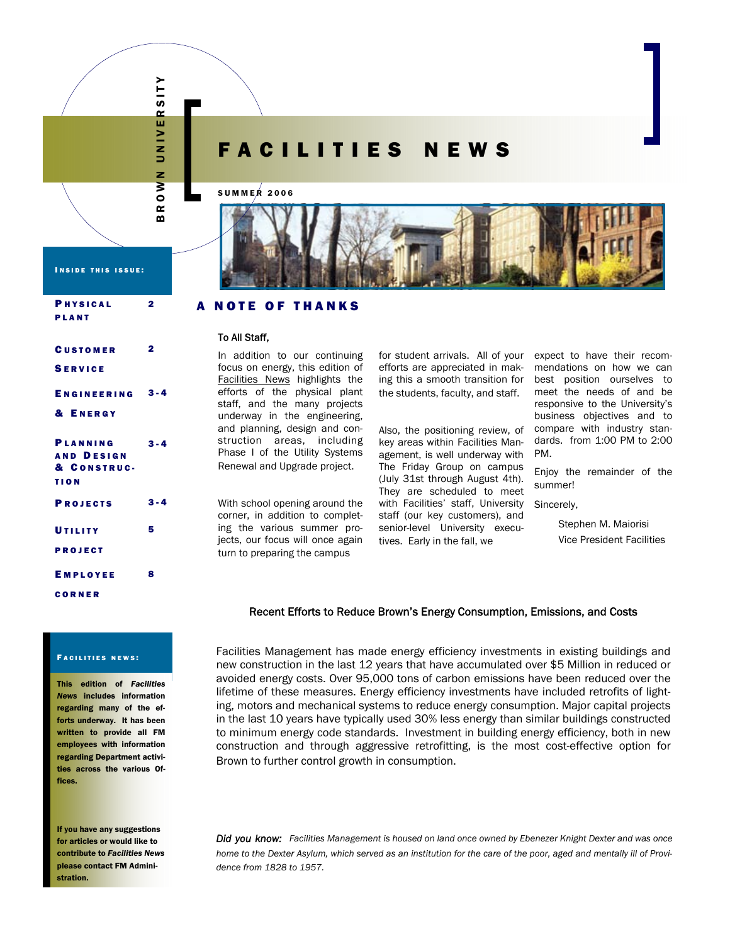

# FACILITIES NEWS

### SUMMER 2006



#### A NOTE OF THANKS

# To All Staff,

In addition to our continuing focus on energy, this edition of Facilities News highlights the efforts of the physical plant staff, and the many projects underway in the engineering, and planning, design and construction areas, including Phase I of the Utility Systems Renewal and Upgrade project.

With school opening around the corner, in addition to completing the various summer projects, our focus will once again turn to preparing the campus

for student arrivals. All of your efforts are appreciated in making this a smooth transition for the students, faculty, and staff.

Also, the positioning review, of key areas within Facilities Management, is well underway with The Friday Group on campus (July 31st through August 4th). They are scheduled to meet with Facilities' staff, University staff (our key customers), and senior-level University executives. Early in the fall, we

expect to have their recommendations on how we can best position ourselves to meet the needs of and be responsive to the University's business objectives and to compare with industry standards. from 1:00 PM to 2:00 PM.

Enjoy the remainder of the summer!

Sincerely,

 Stephen M. Maiorisi Vice President Facilities

## Recent Efforts to Reduce Brown's Energy Consumption, Emissions, and Costs

Facilities Management has made energy efficiency investments in existing buildings and new construction in the last 12 years that have accumulated over \$5 Million in reduced or avoided energy costs. Over 95,000 tons of carbon emissions have been reduced over the lifetime of these measures. Energy efficiency investments have included retrofits of lighting, motors and mechanical systems to reduce energy consumption. Major capital projects in the last 10 years have typically used 30% less energy than similar buildings constructed to minimum energy code standards. Investment in building energy efficiency, both in new construction and through aggressive retrofitting, is the most cost-effective option for Brown to further control growth in consumption.

*Did you know: Facilities Management is housed on land once owned by Ebenezer Knight Dexter and was once home to the Dexter Asylum, which served as an institution for the care of the poor, aged and mentally ill of Providence from 1828 to 1957.* 

INSIDE THIS ISSUE:

| <b>PHYSICAL</b>        | $\mathbf 2$ |
|------------------------|-------------|
| <b>PLANT</b>           |             |
|                        |             |
| <b>CUSTOMER</b>        | $\mathbf 2$ |
| <b>SERVICE</b>         |             |
|                        |             |
| <b>ENGINEERING 3-4</b> |             |
| & ENERGY               |             |
|                        |             |
| PLANNING               | $3 - 4$     |
| <b>AND DESIGN</b>      |             |
| & CONSTRUC-            |             |
| <b>TION</b>            |             |
| <b>PROJECTS</b>        | $3 - 4$     |
|                        |             |
| UTILITY                | 5           |
| <b>PROJECT</b>         |             |
|                        | 8           |
| <b>EMPLOYEE</b>        |             |
| CORNER                 |             |

#### FACILITIES NEWS:

This edition of *Facilities News* includes information regarding many of the efforts underway. It has been written to provide all FM employees with information regarding Department activities across the various Offices.

If you have any suggestions for articles or would like to contribute to *Facilities News* please contact FM Administration.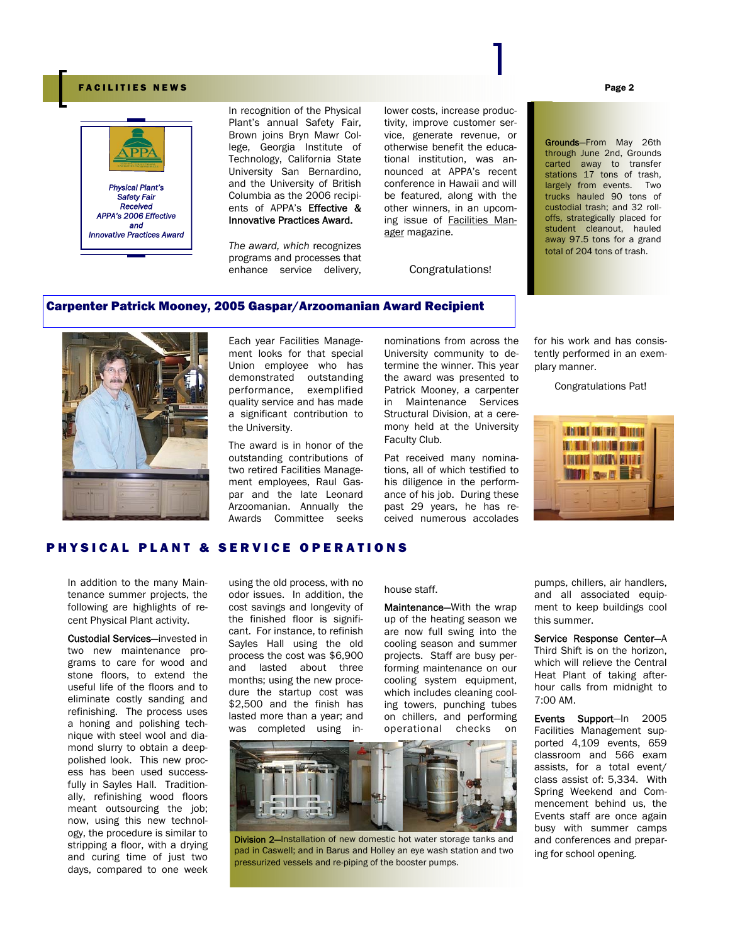# FACILITIES NEWS Page 2



In recognition of the Physical Plant's annual Safety Fair, Brown joins Bryn Mawr College, Georgia Institute of Technology, California State University San Bernardino, and the University of British Columbia as the 2006 recipients of APPA's Effective & Innovative Practices Award.

*The award, which* recognizes programs and processes that enhance service delivery,

lower costs, increase productivity, improve customer service, generate revenue, or otherwise benefit the educational institution, was announced at APPA's recent conference in Hawaii and will be featured, along with the other winners, in an upcoming issue of Facilities Manager magazine.

Congratulations!

Grounds—From May 26th through June 2nd, Grounds carted away to transfer stations 17 tons of trash. largely from events. Two trucks hauled 90 tons of custodial trash; and 32 rolloffs, strategically placed for student cleanout, hauled away 97.5 tons for a grand total of 204 tons of trash.

# Carpenter Patrick Mooney, 2005 Gaspar/Arzoomanian Award Recipient



Each year Facilities Management looks for that special Union employee who has demonstrated outstanding performance, exemplified quality service and has made a significant contribution to the University.

The award is in honor of the outstanding contributions of two retired Facilities Management employees, Raul Gaspar and the late Leonard Arzoomanian. Annually the Awards Committee seeks

nominations from across the University community to determine the winner. This year the award was presented to Patrick Mooney, a carpenter in Maintenance Services Structural Division, at a ceremony held at the University Faculty Club.

Pat received many nominations, all of which testified to his diligence in the performance of his job. During these past 29 years, he has received numerous accolades

for his work and has consistently performed in an exemplary manner.

Congratulations Pat!



# PHYSICAL PLANT & SERVICE OPERATIONS

In addition to the many Maintenance summer projects, the following are highlights of recent Physical Plant activity.

Custodial Services—invested in two new maintenance programs to care for wood and stone floors, to extend the useful life of the floors and to eliminate costly sanding and refinishing. The process uses a honing and polishing technique with steel wool and diamond slurry to obtain a deeppolished look. This new process has been used successfully in Sayles Hall. Traditionally, refinishing wood floors meant outsourcing the job; now, using this new technology, the procedure is similar to stripping a floor, with a drying and curing time of just two days, compared to one week

using the old process, with no odor issues. In addition, the cost savings and longevity of the finished floor is significant. For instance, to refinish Sayles Hall using the old process the cost was \$6,900 and lasted about three months; using the new procedure the startup cost was \$2,500 and the finish has lasted more than a year; and was completed using in-

#### house staff.

Maintenance-With the wrap up of the heating season we are now full swing into the cooling season and summer projects. Staff are busy performing maintenance on our cooling system equipment, which includes cleaning cooling towers, punching tubes on chillers, and performing operational checks on



Division 2-Installation of new domestic hot water storage tanks and pad in Caswell; and in Barus and Holley an eye wash station and two pressurized vessels and re-piping of the booster pumps.

pumps, chillers, air handlers, and all associated equipment to keep buildings cool this summer.

Service Response Center—A Third Shift is on the horizon, which will relieve the Central Heat Plant of taking afterhour calls from midnight to 7:00 AM.

Events Support—In 2005 Facilities Management supported 4,109 events, 659 classroom and 566 exam assists, for a total event/ class assist of: 5,334. With Spring Weekend and Commencement behind us, the Events staff are once again busy with summer camps and conferences and preparing for school opening.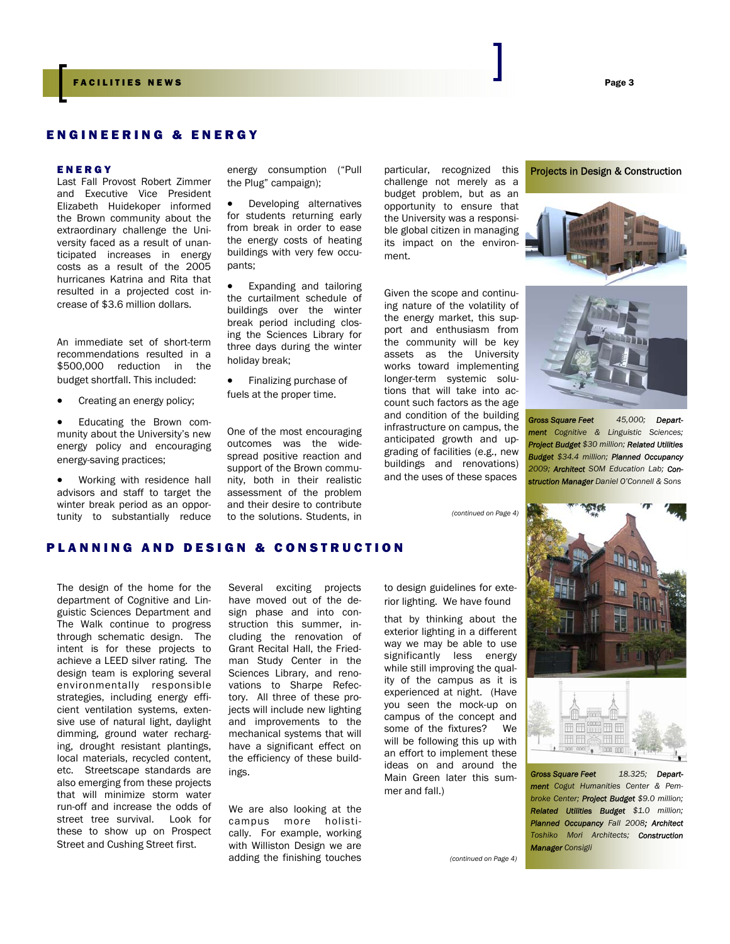# ENGINEERING & ENERGY

#### ENERGY

Last Fall Provost Robert Zimmer and Executive Vice President Elizabeth Huidekoper informed the Brown community about the extraordinary challenge the University faced as a result of unanticipated increases in energy costs as a result of the 2005 hurricanes Katrina and Rita that resulted in a projected cost increase of \$3.6 million dollars.

An immediate set of short-term recommendations resulted in a \$500,000 reduction in the budget shortfall. This included:

- Creating an energy policy;
- Educating the Brown community about the University's new energy policy and encouraging energy-saving practices;
- Working with residence hall advisors and staff to target the winter break period as an opportunity to substantially reduce

energy consumption ("Pull particular, recognized this **Projects in Design & Construction** the Plug" campaign);

Developing alternatives for students returning early from break in order to ease the energy costs of heating buildings with very few occupants;

- Expanding and tailoring the curtailment schedule of buildings over the winter break period including closing the Sciences Library for three days during the winter holiday break;
- Finalizing purchase of fuels at the proper time.

One of the most encouraging outcomes was the widespread positive reaction and support of the Brown community, both in their realistic assessment of the problem and their desire to contribute to the solutions. Students, in

particular, recognized this challenge not merely as a budget problem, but as an opportunity to ensure that the University was a responsible global citizen in managing its impact on the environment.

Given the scope and continuing nature of the volatility of the energy market, this support and enthusiasm from the community will be key assets as the University works toward implementing longer-term systemic solutions that will take into account such factors as the age and condition of the building infrastructure on campus, the anticipated growth and upgrading of facilities (e.g., new buildings and renovations) and the uses of these spaces

*(continued on Page 4)* 





*Gross Square Feet 45,000; Department Cognitive & Linguistic Sciences; Project Budget \$30 million; Related Utilities Budget \$34.4 million; Planned Occupancy 2009; Architect SOM Education Lab; Construction Manager Daniel O'Connell & Sons* 



# PLANNING AND DESIGN & CONSTRUCTION

The design of the home for the department of Cognitive and Linguistic Sciences Department and The Walk continue to progress through schematic design. The intent is for these projects to achieve a LEED silver rating. The design team is exploring several environmentally responsible strategies, including energy efficient ventilation systems, extensive use of natural light, daylight dimming, ground water recharging, drought resistant plantings, local materials, recycled content, etc. Streetscape standards are also emerging from these projects that will minimize storm water run-off and increase the odds of street tree survival. Look for these to show up on Prospect Street and Cushing Street first.

Several exciting projects have moved out of the design phase and into construction this summer, including the renovation of Grant Recital Hall, the Friedman Study Center in the Sciences Library, and renovations to Sharpe Refectory. All three of these projects will include new lighting and improvements to the mechanical systems that will have a significant effect on the efficiency of these buildings.

We are also looking at the campus more holistically. For example, working with Williston Design we are adding the finishing touches

to design guidelines for exterior lighting. We have found

that by thinking about the exterior lighting in a different way we may be able to use significantly less energy while still improving the quality of the campus as it is experienced at night. (Have you seen the mock-up on campus of the concept and some of the fixtures? We will be following this up with an effort to implement these ideas on and around the Main Green later this summer and fall.)

 *(continued on Page 4)* 





*Gross Square Feet 18.325; Department Cogut Humanities Center & Pembroke Center; Project Budget \$9.0 million; Related Utilities Budget \$1.0 million; Planned Occupancy Fall 2008; Architect Toshiko Mori Architects; Construction Manager Consigli*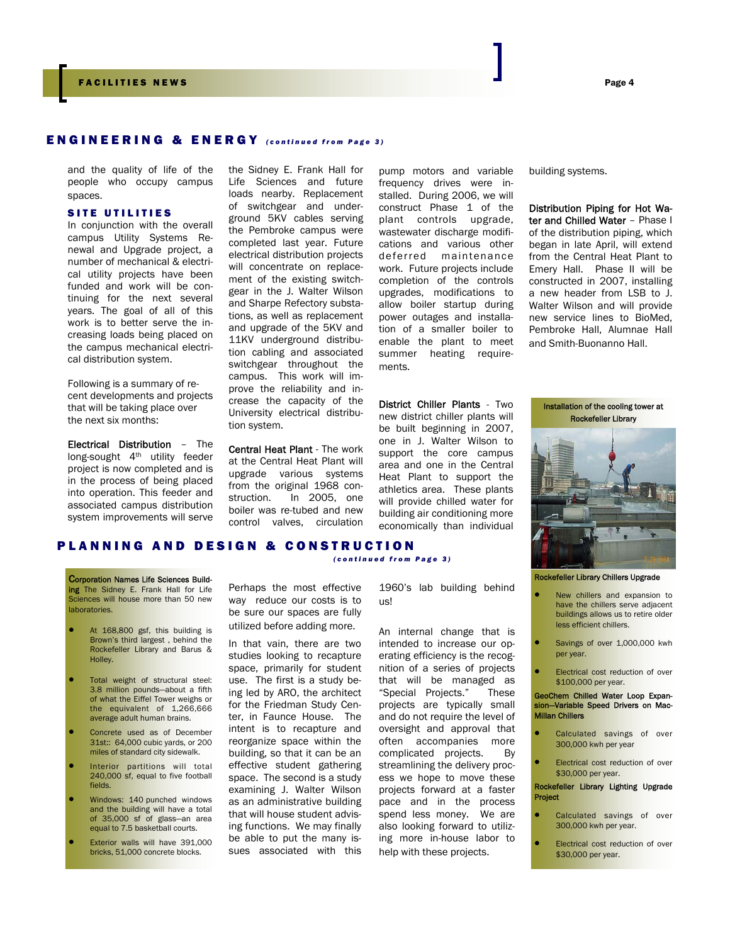# ENGINEERING & ENERGY *(continued from Page 3)*

and the quality of life of the people who occupy campus spaces.

#### SITE UTILITIES

In conjunction with the overall campus Utility Systems Renewal and Upgrade project, a number of mechanical & electrical utility projects have been funded and work will be continuing for the next several years. The goal of all of this work is to better serve the increasing loads being placed on the campus mechanical electrical distribution system.

Following is a summary of recent developments and projects that will be taking place over the next six months:

Electrical Distribution – The long-sought 4th utility feeder project is now completed and is in the process of being placed into operation. This feeder and associated campus distribution system improvements will serve

the Sidney E. Frank Hall for Life Sciences and future loads nearby. Replacement of switchgear and underground 5KV cables serving the Pembroke campus were completed last year. Future electrical distribution projects will concentrate on replacement of the existing switchgear in the J. Walter Wilson and Sharpe Refectory substations, as well as replacement and upgrade of the 5KV and 11KV underground distribution cabling and associated switchgear throughout the campus. This work will improve the reliability and increase the capacity of the University electrical distribution system.

Central Heat Plant - The work at the Central Heat Plant will upgrade various systems from the original 1968 construction. In 2005, one boiler was re-tubed and new control valves, circulation

pump motors and variable frequency drives were installed. During 2006, we will construct Phase 1 of the plant controls upgrade, wastewater discharge modifications and various other deferred maintenance work. Future projects include completion of the controls upgrades, modifications to allow boiler startup during power outages and installation of a smaller boiler to enable the plant to meet summer heating requirements.

District Chiller Plants - Two new district chiller plants will be built beginning in 2007, one in J. Walter Wilson to support the core campus area and one in the Central Heat Plant to support the athletics area. These plants will provide chilled water for building air conditioning more economically than individual building systems.

Distribution Piping for Hot Water and Chilled Water - Phase I of the distribution piping, which began in late April, will extend from the Central Heat Plant to Emery Hall. Phase II will be constructed in 2007, installing a new header from LSB to J. Walter Wilson and will provide new service lines to BioMed, Pembroke Hall, Alumnae Hall and Smith-Buonanno Hall.



#### Rockefeller Library Chillers Upgrade

- New chillers and expansion to have the chillers serve adjacent buildings allows us to retire older less efficient chillers.
- Savings of over 1,000,000 kwh per year.
- **Electrical cost reduction of over** \$100,000 per year.

#### GeoChem Chilled Water Loop Expansion—Variable Speed Drivers on Mac-Millan Chillers

- Calculated savings of over 300,000 kwh per year
- Electrical cost reduction of over \$30,000 per year.

#### Rockefeller Library Lighting Upgrade Project

- Calculated savings of over 300,000 kwh per year.
- **Electrical cost reduction of over** \$30,000 per year.

#### PLANNING AND DESIGN & CONSTRUCTION *(continued from Page 3)*

#### Corporation Names Life Sciences Building The Sidney E. Frank Hall for Life Sciences will house more than 50 new

- laboratories. At 168,800 gsf, this building is
- Brown's third largest , behind the Rockefeller Library and Barus & Holley.
- Total weight of structural steel: 3.8 million pounds—about a fifth of what the Eiffel Tower weighs or the equivalent of 1,266,666 average adult human brains.
- Concrete used as of December 31st:: 64,000 cubic yards, or 200 miles of standard city sidewalk.
- Interior partitions will total 240,000 sf, equal to five football fields.
- Windows: 140 punched windows and the building will have a total of 35,000 sf of glass—an area equal to 7.5 basketball courts.
- Exterior walls will have 391,000 bricks, 51,000 concrete blocks.

Perhaps the most effective way reduce our costs is to be sure our spaces are fully utilized before adding more.

In that vain, there are two studies looking to recapture space, primarily for student use. The first is a study being led by ARO, the architect for the Friedman Study Center, in Faunce House. The intent is to recapture and reorganize space within the building, so that it can be an effective student gathering space. The second is a study examining J. Walter Wilson as an administrative building that will house student advising functions. We may finally be able to put the many issues associated with this

An internal change that is intended to increase our operating efficiency is the recognition of a series of projects that will be managed as "Special Projects." These projects are typically small and do not require the level of oversight and approval that

1960's lab building behind

us!

often accompanies more complicated projects. By streamlining the delivery process we hope to move these projects forward at a faster pace and in the process spend less money. We are also looking forward to utilizing more in-house labor to help with these projects.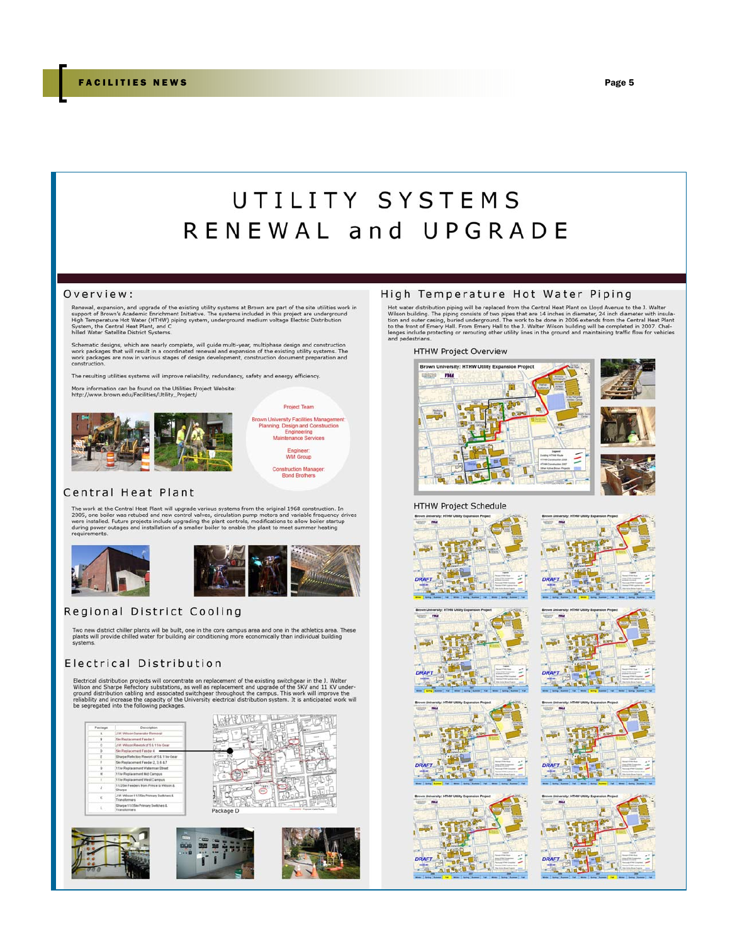# UTILITY SYSTEMS RENEWAL and UPGRADE

#### Overview:

Renewal, expansion, and upgrade of the existing utility systems at Brown are part of the site utilities work in<br>support of Brown's Academic Enrichment Initiative. The systems included in this project are underground<br>High T

Schematic designs, which are nearly complete, will guide multi-year, multiphase design and construction<br>work packages that will result in a coordinated renewal and expansion of the existing utility systems. The<br>work packag

The resulting utilities systems will improve reliability, redundancy, safety and energy efficiency.

More information can be found on the Utilities Project Website:<br>http://www.brown.edu/Facilities/Utility\_Project/



**Project Team** 

**Brown University Facilities Manager** Planning, Design and Construction<br>Engineering<br>Maintenance Services

Engineer:<br>WM Group

Construction Manager:<br>Bond Brothers

#### Central Heat Plant

The work at the Central Heat Plant will upgrade various systems from the original 1968 construction. In 2005, one boller was retubed and new control valves, circulation pump motors and variable frequency drives were instal





# Regional District Cooling

Two new district chiller plants will be built, one in the core campus area and one in the athletics area. These<br>plants will provide chilled water for building air conditioning more economically than individual building systems.

# Electrical Distribution

Electrical distribution projects will concentrate on replacement of the existing switchgear in the J. Walter Wilson and Share Refectory substations, as well as replacement and upgrade of the SKV and 11 KV under-<br>ground dis









#### High Temperature Hot Water Piping

**Hot water distribution piping will be replaced from the Central Heat Plant on Lloyd Avenue to he J. Walter**<br>Wisson building. The piping consists of two pipes that are 14 inches in dismerter, 24 inch diameter with insula-<br>

HTHW Project Overview





**HTHW Project Schedule**